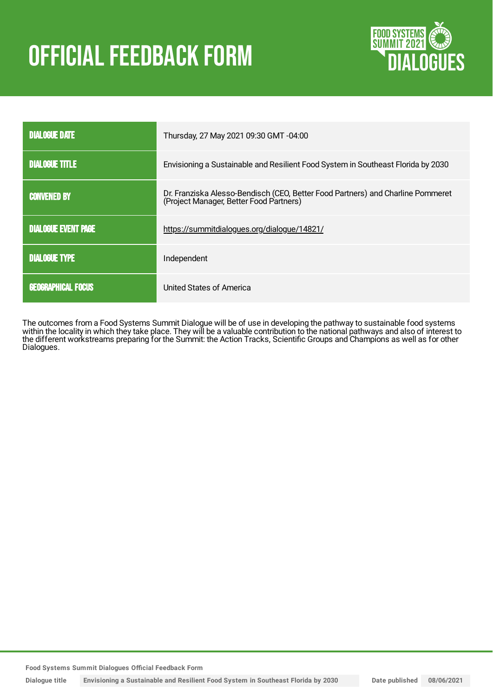# OFFICIAL FEEDBACK FORM



| <b>DIALOGUE DATE</b>       | Thursday, 27 May 2021 09:30 GMT -04:00                                                                                     |
|----------------------------|----------------------------------------------------------------------------------------------------------------------------|
| <b>DIALOGUE TITLE</b>      | Envisioning a Sustainable and Resilient Food System in Southeast Florida by 2030                                           |
| <b>CONVENED BY</b>         | Dr. Franziska Alesso-Bendisch (CEO, Better Food Partners) and Charline Pommeret<br>(Project Manager, Better Food Partners) |
| <b>DIALOGUE EVENT PAGE</b> | https://summitdialogues.org/dialogue/14821/                                                                                |
| <b>DIALOGUE TYPE</b>       | Independent                                                                                                                |
| <b>GEOGRAPHICAL FOCUS</b>  | United States of America                                                                                                   |

The outcomes from a Food Systems Summit Dialogue will be of use in developing the pathway to sustainable food systems within the locality in which they take place. They will be a valuable contribution to the national pathways and also of interest to the different workstreams preparing for the Summit: the Action Tracks, Scientific Groups and Champions as well as for other Dialogues.

**Food Systems Summit Dialogues Official Feedback Form**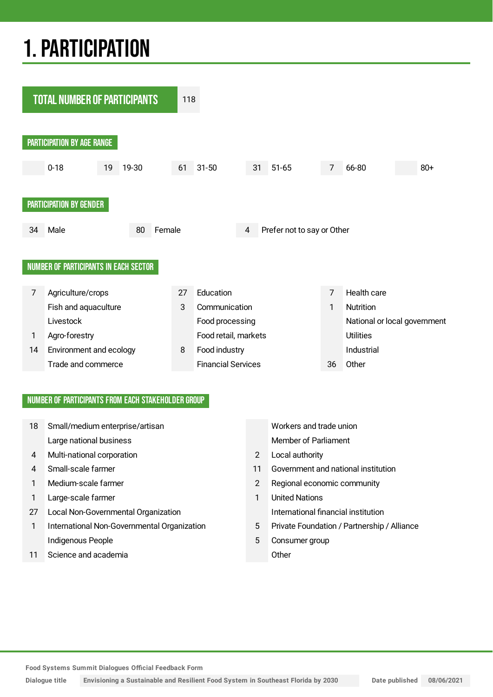## 1.PARTICIPATION



#### NUMBER OF PARTICIPANTS FROM EACH STAKEHOLDER GROUP

| 18 | Small/medium enterprise/artisan             |                | Workers and trade union                     |
|----|---------------------------------------------|----------------|---------------------------------------------|
|    | Large national business                     |                | Member of Parliament                        |
| 4  | Multi-national corporation                  | 2              | Local authority                             |
| 4  | Small-scale farmer                          | 11             | Government and national institution         |
|    | Medium-scale farmer                         | $\overline{2}$ | Regional economic community                 |
| 1  | Large-scale farmer                          | 1              | <b>United Nations</b>                       |
| 27 | Local Non-Governmental Organization         |                | International financial institution         |
| 1  | International Non-Governmental Organization | 5              | Private Foundation / Partnership / Alliance |
|    | Indigenous People                           | 5              | Consumer group                              |
| 11 | Science and academia                        |                | Other                                       |
|    |                                             |                |                                             |

**Food Systems Summit Dialogues Official Feedback Form**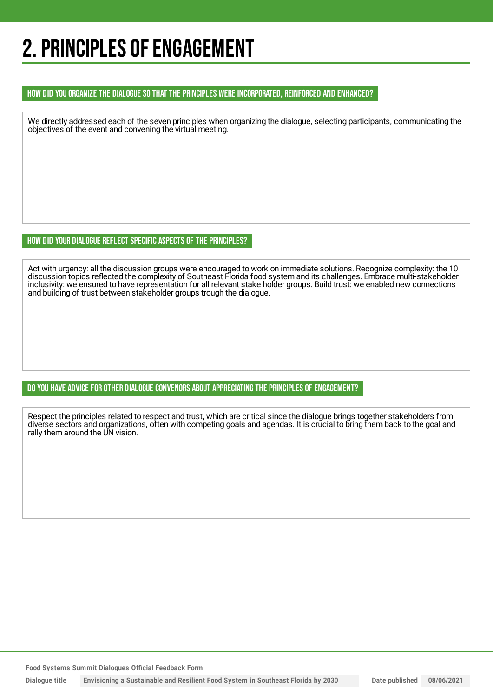### 2. PRINCIPLES OF ENGAGEMENT

#### HOW DID YOU ORGANIZE THE DIALOGUE SO THAT THE PRINCIPLES WERE INCORPORATED, REINFORCED AND ENHANCED?

We directly addressed each of the seven principles when organizing the dialogue, selecting participants, communicating the objectives of the event and convening the virtual meeting.

HOW DID YOUR DIALOGUE REFLECT SPECIFIC ASPECTS OF THE PRINCIPLES?

Act with urgency: all the discussion groups were encouraged to work on immediate solutions. Recognize complexity: the 10 discussion topics reflected the complexity of Southeast Florida food system and its challenges. Embrace multi-stakeholder inclusivity: we ensured to have representation for all relevant stake holder groups. Build trust: we enabled new connections and building of trust between stakeholder groups trough the dialogue.

DO YOU HAVE ADVICE FOR OTHER DIALOGUE CONVENORS ABOUT APPRECIATINGTHE PRINCIPLES OF ENGAGEMENT?

Respect the principles related to respect and trust, which are critical since the dialogue brings together stakeholders from diverse sectors and organizations, often with competing goals and agendas. It is crucial to bring them back to the goal and rally them around the UN vision.

**Food Systems Summit Dialogues Official Feedback Form**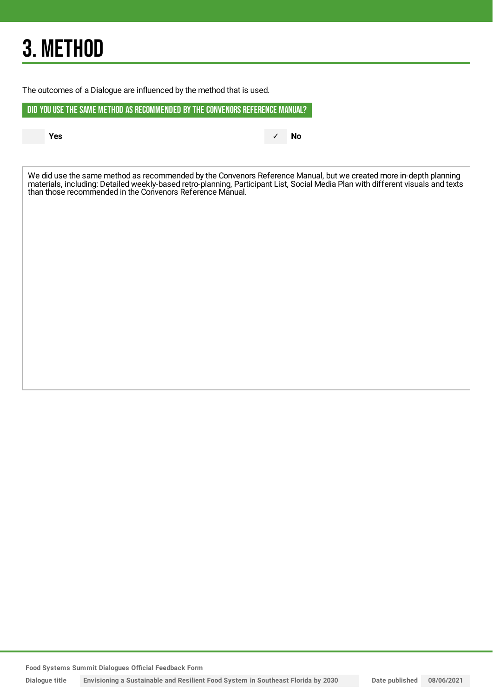## 3. METHOD

The outcomes of a Dialogue are influenced by the method that is used.

DID YOU USE THE SAME METHOD AS RECOMMENDED BYTHE CONVENORS REFERENCE MANUAL?

**Yes** ✓ **No**

We did use the same method as recommended by the Convenors Reference Manual, but we created more in-depth planning materials, including: Detailed weekly-based retro-planning, Participant List, Social Media Plan with different visuals and texts than those recommended in the Convenors Reference Manual.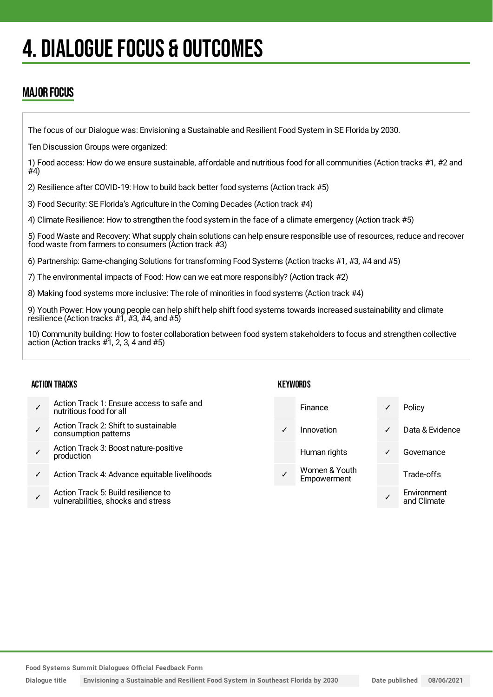## 4. DIALOGUE FOCUS & OUTCOMES

### MAJOR FOCUS

The focus of our Dialogue was: Envisioning a Sustainable and Resilient Food System in SE Florida by 2030.

Ten Discussion Groups were organized:

1) Food access: How do we ensure sustainable, affordable and nutritious food for all communities (Action tracks #1, #2 and  $#4)$ 

2) Resilience after COVID-19: How to build back better food systems (Action track #5)

3) Food Security: SE Florida's Agriculture in the Coming Decades (Action track #4)

4) Climate Resilience: How to strengthen the food system in the face of a climate emergency (Action track #5)

5) Food Waste and Recovery: What supply chain solutions can help ensure responsible use of resources, reduce and recover food waste from farmers to consumers (Action track #3)

6) Partnership: Game-changing Solutions for transforming Food Systems (Action tracks #1, #3, #4 and #5)

7) The environmental impacts of Food: How can we eat more responsibly? (Action track #2)

8) Making food systems more inclusive: The role of minorities in food systems (Action track #4)

9) Youth Power: How young people can help shift help shift food systems towards increased sustainability and climate resilience (Action tracks  $#7, #3, #4,$  and  $#5$ )

10) Community building: How to foster collaboration between food system stakeholders to focus and strengthen collective action (Action tracks #1, 2, 3, 4 and #5)

#### ACTION TRACKS

- ✓ Action Track 1: Ensure access to safe and nutritious food for all
- ✓ Action Track 2: Shift to sustainable consumption patterns
- ✓ Action Track 3: Boost nature-positive production
- Action Track 4: Advance equitable livelihoods
- ✓ Action Track 5: Build resilience to vulnerabilities, shocks and stress

#### **KEYWORDS**

|   | Finance                      | ✓ | Policy                     |
|---|------------------------------|---|----------------------------|
| ✓ | Innovation                   | ✓ | Data & Evidence            |
|   | Human rights                 | ✓ | Governance                 |
|   | Women & Youth<br>Empowerment |   | Trade-offs                 |
|   |                              |   | Environment<br>and Climate |

**Food Systems Summit Dialogues Official Feedback Form**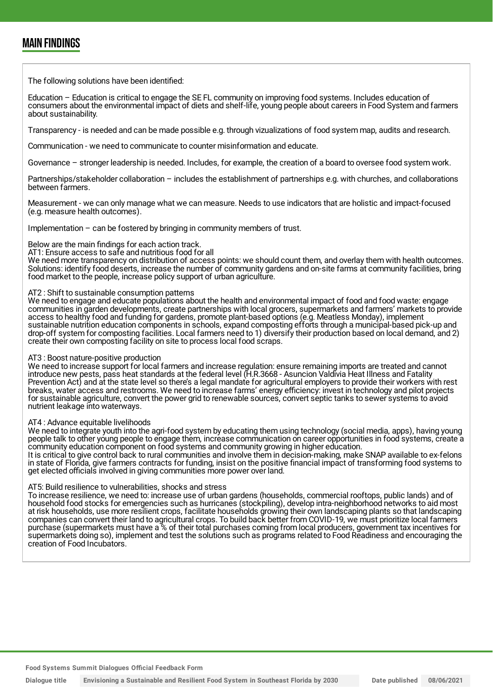### MAIN FINDINGS

The following solutions have been identified:

Education – Education is critical to engage the SE FL community on improving food systems. Includes education of consumers about the environmental impact of diets and shelf-life, young people about careers in Food System and farmers about sustainability.

Transparency - is needed and can be made possible e.g. through vizualizations of food system map, audits and research.

Communication - we need to communicate to counter misinformation and educate.

Governance – stronger leadership is needed. Includes, for example, the creation of a board to oversee food system work.

Partnerships/stakeholder collaboration – includes the establishment of partnerships e.g. with churches, and collaborations between farmers.

Measurement - we can only manage what we can measure. Needs to use indicators that are holistic and impact-focused (e.g. measure health outcomes).

Implementation  $-$  can be fostered by bringing in community members of trust.

Below are the main findings for each action track.

AT1: Ensure access to safe and nutritious food for all

We need more transparency on distribution of access points: we should count them, and overlay them with health outcomes. Solutions: identify food deserts, increase the number of community gardens and on-site farms at community facilities, bring food market to the people, increase policy support of urban agriculture.

#### AT2 : Shift to sustainable consumption patterns

We need to engage and educate populations about the health and environmental impact of food and food waste: engage communities in garden developments, create partnerships with local grocers, supermarkets and farmers' markets to provide access to healthy food and funding for gardens, promote plant-based options (e.g. Meatless Monday), implement sustainable nutrition education components in schools, expand composting efforts through a municipal-based pick-up and drop-off system for composting facilities. Local farmers need to 1) diversify their production based on local demand, and 2) create their own composting facility on site to process local food scraps.

#### AT3 : Boost nature-positive production

We need to increase support for local farmers and increase regulation: ensure remaining imports are treated and cannot introduce new pests, pass heat standards at the federal level (H.R.3668 - Asuncion Valdivia Heat Illness and Fatality Prevention Act) and at the state level so there's a legal mandate for agricultural employers to provide their workers with rest breaks, water access and restrooms. We need to increase farms' energy efficiency: invest in technology and pilot projects for sustainable agriculture, convert the power grid to renewable sources, convert septic tanks to sewer systems to avoid nutrient leakage into waterways.

#### AT4 : Advance equitable livelihoods

We need to integrate youth into the agri-food system by educating them using technology (social media, apps), having young people talk to other young people to engage them, increase communication on career opportunities in food systems, create a community education component on food systems and community growing in higher education.

It is critical to give control back to rural communities and involve them in decision-making, make SNAP available to ex-felons in state of Florida, give farmers contracts for funding, insist on the positive financial impact of transforming food systems to get elected officials involved in giving communities more power over land.

#### AT5: Build resilience to vulnerabilities, shocks and stress

To increase resilience, we need to: increase use of urban gardens (households, commercial rooftops, public lands) and of household food stocks for emergencies such as hurricanes (stockpiling), develop intra-neighborhood networks to aid most at risk households, use more resilient crops, facilitate households growing their own landscaping plants so that landscaping companies can convert their land to agricultural crops. To build back better from COVID-19, we must prioritize local farmers purchase (supermarkets must have a % of their total purchases coming from local producers, government tax incentives for supermarkets doing so), implement and test the solutions such as programs related to Food Readiness and encouraging the creation of Food Incubators.

**Food Systems Summit Dialogues Official Feedback Form**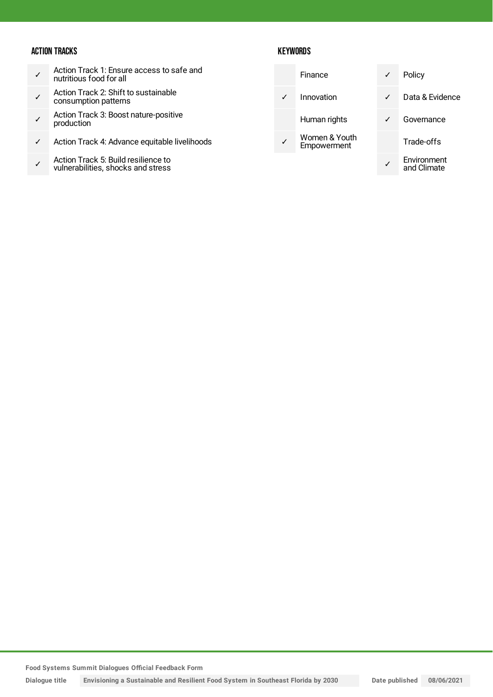#### ACTION TRACKS

- ✓ Action Track 1: Ensure access to safe and nutritious food for all
- ✓ Action Track 2: Shift to sustainable consumption patterns
- ✓ Action Track 3: Boost nature-positive production
- ✓ Action Track 4: Advance equitable livelihoods
- ✓ Action Track 5: Build resilience to vulnerabilities, shocks and stress

#### **KEYWORDS**

|  | Finance                      | ✓ | Policy                     |
|--|------------------------------|---|----------------------------|
|  | Innovation                   | ✓ | Data & Evidence            |
|  | Human rights                 |   | Governance                 |
|  | Women & Youth<br>Empowerment |   | Trade-offs                 |
|  |                              |   | Environment<br>and Climate |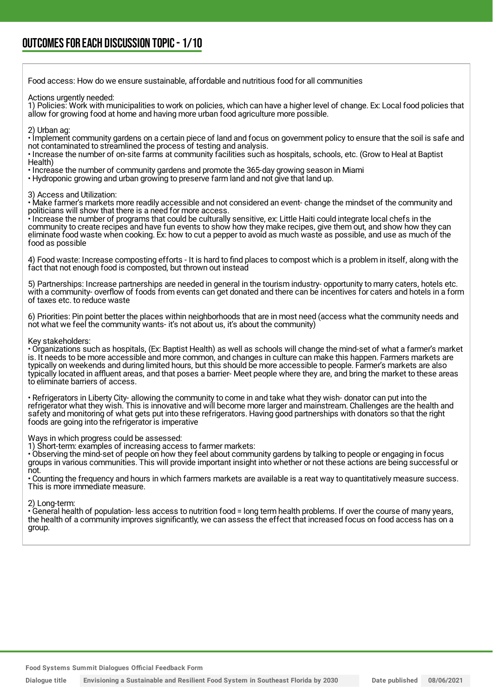Food access: How do we ensure sustainable, affordable and nutritious food for all communities Actions urgently needed: 1) Policies: Work with municipalities to work on policies, which can have a higher level of change. Ex: Local food policies that allow for growing food at home and having more urban food agriculture more possible. 2) Urban ag: • Implement community gardens on a certain piece of land and focus on government policy to ensure that the soil is safe and not contaminated to streamlined the process of testing and analysis. • Increase the number of on-site farms at community facilities such as hospitals, schools, etc. (Grow to Heal at Baptist Health) • Increase the number of community gardens and promote the 365-day growing season in Miami • Hydroponic growing and urban growing to preserve farm land and not give that land up. 3) Access and Utilization: • Make farmer's markets more readily accessible and not considered an event- change the mindset of the community and politicians will show that there is a need for more access. • Increase the number of programs that could be culturally sensitive, ex: Little Haiti could integrate local chefs in the community to create recipes and have fun events to show how they make recipes, give them out, and show how they can eliminate food waste when cooking. Ex: how to cut a pepper to avoid as much waste as possible, and use as much of the food as possible 4) Food waste: Increase composting efforts - It is hard to find places to compost which is a problem in itself, along with the fact that not enough food is composted, but thrown out instead 5) Partnerships: Increase partnerships are needed in general in the tourism industry- opportunity to marry caters, hotels etc. with a community- overflow of foods from events can get donated and there can be incentives for caters and hotels in a form of taxes etc. to reduce waste 6) Priorities: Pin point better the places within neighborhoods that are in most need (access what the community needs and not what we feel the community wants- it's not about us, it's about the community) Key stakeholders: • Organizations such as hospitals, (Ex: Baptist Health) as well as schools will change the mind-set of what a farmer's market is. It needs to be more accessible and more common, and changes in culture can make this happen. Farmers markets are typically on weekends and during limited hours, but this should be more accessible to people. Farmer's markets are also typically located in affluent areas, and that poses a barrier- Meet people where they are, and bring the market to these areas to eliminate barriers of access. • Refrigerators in Liberty City- allowing the community to come in and take what they wish- donator can put into the refrigerator what they wish. This is innovative and will become more larger and mainstream. Challenges are the health and safety and monitoring of what gets put into these refrigerators. Having good partnerships with donators so that the right foods are going into the refrigerator is imperative Ways in which progress could be assessed:

1) Short-term: examples of increasing access to farmer markets:

• Observing the mind-set of people on how they feel about community gardens by talking to people or engaging in focus groups in various communities. This will provide important insight into whether or not these actions are being successful or not.

• Counting the frequency and hours in which farmers markets are available is a reat way to quantitatively measure success. This is more immediate measure.

2) Long-term:

• General health of population- less access to nutrition food = long term health problems. If over the course of many years, the health of a community improves significantly, we can assess the effect that increased focus on food access has on a group.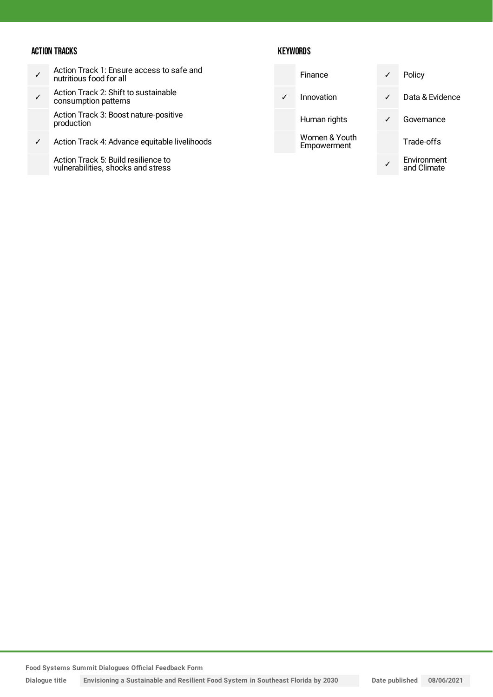#### ACTION TRACKS

- ✓ Action Track 1: Ensure access to safe and nutritious food for all
- ✓ Action Track 2: Shift to sustainable consumption patterns

Action Track 3: Boost nature-positive production

✓ Action Track 4: Advance equitable livelihoods

Action Track 5: Build resilience to vulnerabilities, shocks and stress

#### **KEYWORDS**

|   | Finance                      | ✓            | Policy                     |
|---|------------------------------|--------------|----------------------------|
| ✓ | Innovation                   | $\checkmark$ | Data & Evidence            |
|   | Human rights                 | ✓            | Governance                 |
|   | Women & Youth<br>Empowerment |              | Trade-offs                 |
|   |                              |              | Environment<br>and Climate |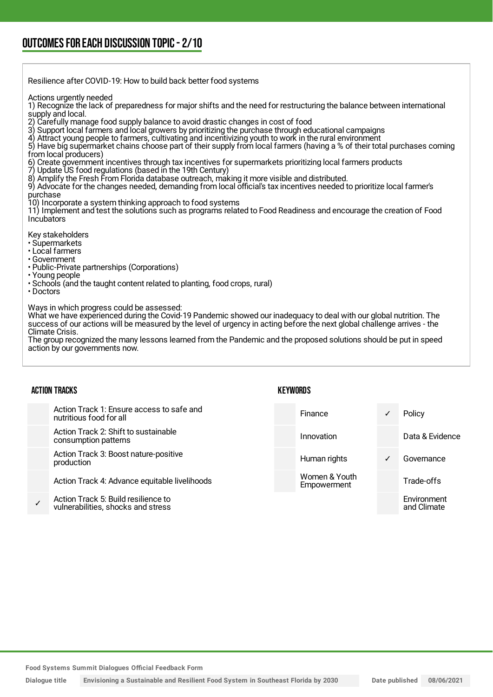### OUTCOMESFOR EACH DISCUSSION TOPIC- 2/10

| Resilience after COVID-19: How to build back better food systems                                                                                                                                                                                                                                                                                                                                                                                                                                                                                                                                                                                                                                                                                                                                                                                                                                                                                                                                                                                                                                                                                                                                                                                           |
|------------------------------------------------------------------------------------------------------------------------------------------------------------------------------------------------------------------------------------------------------------------------------------------------------------------------------------------------------------------------------------------------------------------------------------------------------------------------------------------------------------------------------------------------------------------------------------------------------------------------------------------------------------------------------------------------------------------------------------------------------------------------------------------------------------------------------------------------------------------------------------------------------------------------------------------------------------------------------------------------------------------------------------------------------------------------------------------------------------------------------------------------------------------------------------------------------------------------------------------------------------|
| Actions urgently needed<br>1) Recognize the lack of preparedness for major shifts and the need for restructuring the balance between international<br>supply and local.<br>2) Carefully manage food supply balance to avoid drastic changes in cost of food<br>3) Support local farmers and local growers by prioritizing the purchase through educational campaigns<br>4) Attract young people to farmers, cultivating and incentivizing youth to work in the rural environment<br>5) Have big supermarket chains choose part of their supply from local farmers (having a % of their total purchases coming<br>from local producers)<br>6) Create government incentives through tax incentives for supermarkets prioritizing local farmers products<br>7) Update US food regulations (based in the 19th Century)<br>8) Amplify the Fresh From Florida database outreach, making it more visible and distributed.<br>9) Advocate for the changes needed, demanding from local official's tax incentives needed to prioritize local farmer's<br>purchase<br>10) Incorporate a system thinking approach to food systems<br>11) Implement and test the solutions such as programs related to Food Readiness and encourage the creation of Food<br>Incubators |
| Key stakeholders<br>· Supermarkets<br>• Local farmers<br>• Government<br>• Public-Private partnerships (Corporations)<br>• Young people<br>• Schools (and the taught content related to planting, food crops, rural)<br>$\cdot$ Doctors                                                                                                                                                                                                                                                                                                                                                                                                                                                                                                                                                                                                                                                                                                                                                                                                                                                                                                                                                                                                                    |
| Ways in which progress could be assessed:<br>What we have experienced during the Covid-19 Pandemic showed our inadequacy to deal with our global nutrition. The<br>success of our actions will be measured by the level of urgency in acting before the next global challenge arrives - the<br>Climate Crisis.                                                                                                                                                                                                                                                                                                                                                                                                                                                                                                                                                                                                                                                                                                                                                                                                                                                                                                                                             |

The group recognized the many lessons learned from the Pandemic and the proposed solutions should be put in speed action by our governments now.

| <b>ACTION TRACKS</b> |                                                                           | KEYWORDS |                              |   |                            |
|----------------------|---------------------------------------------------------------------------|----------|------------------------------|---|----------------------------|
|                      | Action Track 1: Ensure access to safe and<br>nutritious food for all      |          | Finance                      |   | Policy                     |
|                      | Action Track 2: Shift to sustainable<br>consumption patterns              |          | Innovation                   |   | Data & Evidence            |
|                      | Action Track 3: Boost nature-positive<br>production                       |          | Human rights                 | ✓ | Governance                 |
|                      | Action Track 4: Advance equitable livelihoods                             |          | Women & Youth<br>Empowerment |   | Trade-offs                 |
|                      | Action Track 5: Build resilience to<br>vulnerabilities, shocks and stress |          |                              |   | Environment<br>and Climate |
|                      |                                                                           |          |                              |   |                            |

**Food Systems Summit Dialogues Official Feedback Form**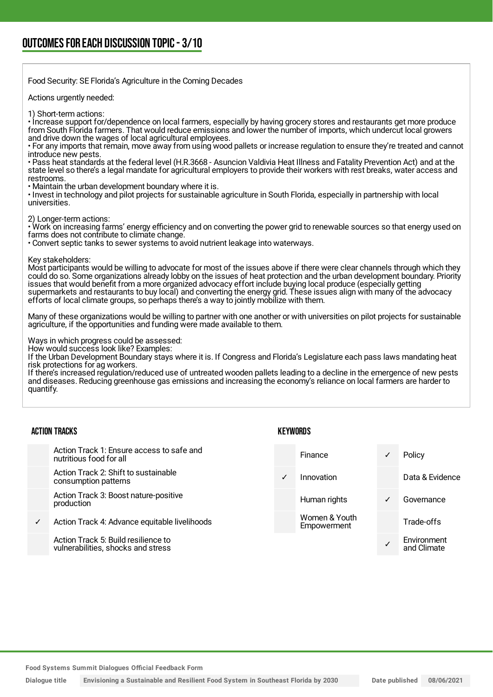Food Security: SE Florida's Agriculture in the Coming Decades

Actions urgently needed:

1) Short-term actions:

• Increase support for/dependence on local farmers, especially by having grocery stores and restaurants get more produce from South Florida farmers. That would reduce emissions and lower the number of imports, which undercut local growers and drive down the wages of local agricultural employees.

• For any imports that remain, move away from using wood pallets or increase regulation to ensure they're treated and cannot introduce new pests.

• Pass heat standards at the federal level (H.R.3668 - Asuncion Valdivia Heat Illness and Fatality Prevention Act) and at the state level so there's a legal mandate for agricultural employers to provide their workers with rest breaks, water access and restrooms.

• Maintain the urban development boundary where it is.

• Invest in technology and pilot projects for sustainable agriculture in South Florida, especially in partnership with local universities.

2) Longer-term actions:

• Work on increasing farms' energy efficiency and on converting the power grid to renewable sources so that energy used on farms does not contribute to climate change.

• Convert septic tanks to sewer systems to avoid nutrient leakage into waterways.

Key stakeholders:

Most participants would be willing to advocate for most of the issues above if there were clear channels through which they could do so. Some organizations already lobby on the issues of heat protection and the urban development boundary. Priority issues that would benefit from a more organized advocacy effort include buying local produce (especially getting supermarkets and restaurants to buy local) and converting the energy grid. These issues align with many of the advocacy efforts of local climate groups, so perhaps there's a way to jointly mobilize with them.

Many of these organizations would be willing to partner with one another or with universities on pilot projects for sustainable agriculture, if the opportunities and funding were made available to them.

Ways in which progress could be assessed:

How would success look like? Examples:

If the Urban Development Boundary stays where it is. If Congress and Florida's Legislature each pass laws mandating heat risk protections for ag workers.

If there's increased regulation/reduced use of untreated wooden pallets leading to a decline in the emergence of new pests and diseases. Reducing greenhouse gas emissions and increasing the economy's reliance on local farmers are harder to quantify.

|  | <b>ACTION TRACKS</b> |
|--|----------------------|
|--|----------------------|

Action Track 1: Ensure access to nutritious food for all

Action Track 2: Shift to sustaina consumption patterns

Action Track 3: Boost nature-pos production

Action Track 4: Advance equitable

Action Track 5: Build resilience to vulnerabilities, shocks and stres **KEYWORDS** 

| o safe and      |              | Finance                      | ✓            | Policy                     |
|-----------------|--------------|------------------------------|--------------|----------------------------|
| ıble            | $\checkmark$ | Innovation                   |              | Data & Evidence            |
| sitive          |              | Human rights                 | $\checkmark$ | Governance                 |
| ble livelihoods |              | Women & Youth<br>Empowerment |              | Trade-offs                 |
| to<br>SS.       |              |                              | $\checkmark$ | Environment<br>and Climate |
|                 |              |                              |              |                            |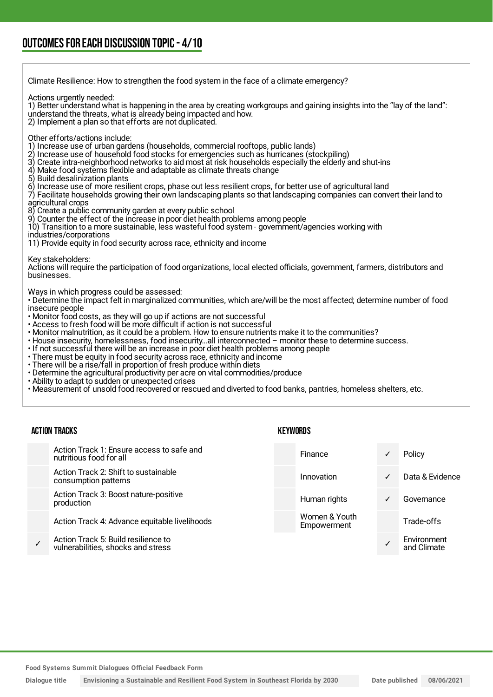| Climate Resilience: How to strengthen the food system in the face of a climate emergency?                                                                                                                                                                                                                                                                                                                                                                                                                                                                                                                                                                                                                                                                                                                                                                                                                                                                                                                                                                                         |                 |   |                 |  |  |  |
|-----------------------------------------------------------------------------------------------------------------------------------------------------------------------------------------------------------------------------------------------------------------------------------------------------------------------------------------------------------------------------------------------------------------------------------------------------------------------------------------------------------------------------------------------------------------------------------------------------------------------------------------------------------------------------------------------------------------------------------------------------------------------------------------------------------------------------------------------------------------------------------------------------------------------------------------------------------------------------------------------------------------------------------------------------------------------------------|-----------------|---|-----------------|--|--|--|
| Actions urgently needed:<br>1) Better understand what is happening in the area by creating workgroups and gaining insights into the "lay of the land":<br>understand the threats, what is already being impacted and how.<br>2) Implement a plan so that efforts are not duplicated.                                                                                                                                                                                                                                                                                                                                                                                                                                                                                                                                                                                                                                                                                                                                                                                              |                 |   |                 |  |  |  |
| Other efforts/actions include:<br>1) Increase use of urban gardens (households, commercial rooftops, public lands)<br>2) Increase use of household food stocks for emergencies such as hurricanes (stockpiling)<br>3) Create intra-neighborhood networks to aid most at risk households especially the elderly and shut-ins<br>4) Make food systems flexible and adaptable as climate threats change<br>5) Build desalinization plants<br>6) Increase use of more resilient crops, phase out less resilient crops, for better use of agricultural land<br>7) Facilitate households growing their own landscaping plants so that landscaping companies can convert their land to<br>agricultural crops<br>8) Create a public community garden at every public school<br>9) Counter the effect of the increase in poor diet health problems among people<br>10) Transition to a more sustainable, less wasteful food system - government/agencies working with<br>industries/corporations<br>11) Provide equity in food security across race, ethnicity and income                  |                 |   |                 |  |  |  |
| Key stakeholders:<br>Actions will require the participation of food organizations, local elected officials, government, farmers, distributors and<br>businesses.                                                                                                                                                                                                                                                                                                                                                                                                                                                                                                                                                                                                                                                                                                                                                                                                                                                                                                                  |                 |   |                 |  |  |  |
| Ways in which progress could be assessed:<br>• Determine the impact felt in marginalized communities, which are/will be the most affected; determine number of food<br>insecure people<br>• Monitor food costs, as they will go up if actions are not successful<br>• Access to fresh food will be more difficult if action is not successful<br>• Monitor malnutrition, as it could be a problem. How to ensure nutrients make it to the communities?<br>· House insecurity, homelessness, food insecurityall interconnected - monitor these to determine success.<br>. If not successful there will be an increase in poor diet health problems among people<br>· There must be equity in food security across race, ethnicity and income<br>· There will be a rise/fall in proportion of fresh produce within diets<br>. Determine the agricultural productivity per acre on vital commodities/produce<br>• Ability to adapt to sudden or unexpected crises<br>. Measurement of unsold food recovered or rescued and diverted to food banks, pantries, homeless shelters, etc. |                 |   |                 |  |  |  |
| <b>ACTION TRACKS</b>                                                                                                                                                                                                                                                                                                                                                                                                                                                                                                                                                                                                                                                                                                                                                                                                                                                                                                                                                                                                                                                              | <b>KEYWORDS</b> |   |                 |  |  |  |
| Action Track 1: Ensure access to safe and<br>nutritious food for all                                                                                                                                                                                                                                                                                                                                                                                                                                                                                                                                                                                                                                                                                                                                                                                                                                                                                                                                                                                                              | Finance         | ✓ | Policy          |  |  |  |
| Action Track 2: Shift to sustainable<br>consumption patterns                                                                                                                                                                                                                                                                                                                                                                                                                                                                                                                                                                                                                                                                                                                                                                                                                                                                                                                                                                                                                      | Innovation      | ✓ | Data & Evidence |  |  |  |

Action Track 3: Boost nature-positive production

Action Track 4: Advance equitable livelihoods

✓ Action Track 5: Build resilience to vulnerabilities, shocks and stress

Human rights **v** Governance Trade-offs ✓ Environment

and Climate

Women & Youth Empowerment

**Food Systems Summit Dialogues Official Feedback Form**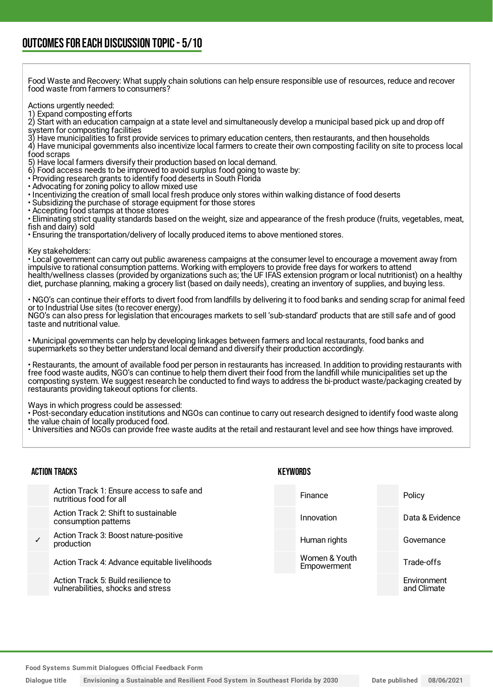Food Waste and Recovery: What supply chain solutions can help ensure responsible use of resources, reduce and recover food waste from farmers to consumers?

#### Actions urgently needed:

1) Expand composting efforts

2) Start with an education campaign at a state level and simultaneously develop a municipal based pick up and drop off system for composting facilities

3) Have municipalities to first provide services to primary education centers, then restaurants, and then households

4) Have municipal governments also incentivize local farmers to create their own composting facility on site to process local food scraps

5) Have local farmers diversify their production based on local demand.

- 6) Food access needs to be improved to avoid surplus food going to waste by:
- Providing research grants to identify food deserts in South Florida
- Advocating for zoning policy to allow mixed use
- Incentivizing the creation of small local fresh produce only stores within walking distance of food deserts
- Subsidizing the purchase of storage equipment for those stores
- Accepting food stamps at those stores

• Eliminating strict quality standards based on the weight, size and appearance of the fresh produce (fruits, vegetables, meat, fish and dairy) sold

• Ensuring the transportation/delivery of locally produced items to above mentioned stores.

#### Key stakeholders:

• Local government can carry out public awareness campaigns at the consumer level to encourage a movement away from impulsive to rational consumption patterns. Working with employers to provide free days for workers to attend health/wellness classes (provided by organizations such as; the UF IFAS extension program or local nutritionist) on a healthy diet, purchase planning, making a grocery list (based on daily needs), creating an inventory of supplies, and buying less.

• NGO's can continue their efforts to divert food from landfills by delivering it to food banks and sending scrap for animal feed or to Industrial Use sites (to recover energy).

NGO's can also press for legislation that encourages markets to sell 'sub-standard' products that are still safe and of good taste and nutritional value.

• Municipal governments can help by developing linkages between farmers and local restaurants, food banks and supermarkets so they better understand local demand and diversify their production accordingly.

• Restaurants, the amount of available food per person in restaurants has increased. In addition to providing restaurants with free food waste audits, NGO's can continue to help them divert their food from the landfill while municipalities set up the composting system. We suggest research be conducted to find ways to address the bi-product waste/packaging created by restaurants providing takeout options for clients.

Ways in which progress could be assessed:

• Post-secondary education institutions and NGOs can continue to carry out research designed to identify food waste along the value chain of locally produced food.

• Universities and NGOs can provide free waste audits at the retail and restaurant level and see how things have improved.

#### ACTION TRACKS

#### **KEYWORDS**

|              | Action Track 1: Ensure access to safe and<br>nutritious food for all      | Finance                      | Policy                     |
|--------------|---------------------------------------------------------------------------|------------------------------|----------------------------|
|              | Action Track 2: Shift to sustainable<br>consumption patterns              | Innovation                   | Data & Evidence            |
| $\checkmark$ | Action Track 3: Boost nature-positive<br>production                       | Human rights                 | Governance                 |
|              | Action Track 4: Advance equitable livelihoods                             | Women & Youth<br>Empowerment | Trade-offs                 |
|              | Action Track 5: Build resilience to<br>vulnerabilities, shocks and stress |                              | Environment<br>and Climate |

**Food Systems Summit Dialogues Official Feedback Form**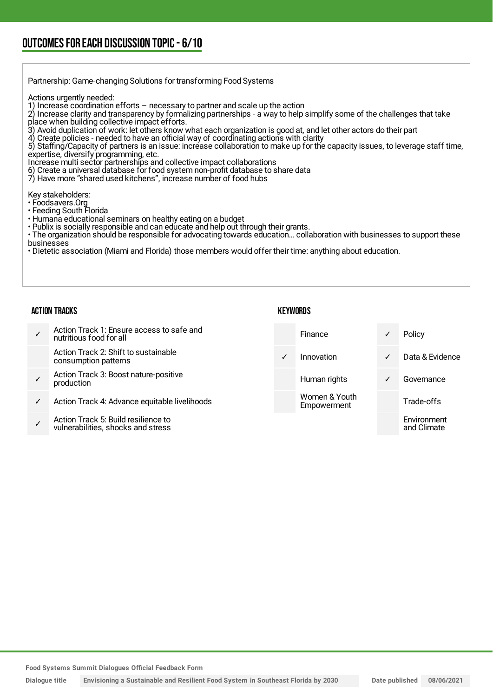Partnership: Game-changing Solutions for transforming Food Systems Actions urgently needed: 1) Increase coordination efforts  $-$  necessary to partner and scale up the action 2) Increase clarity and transparency by formalizing partnerships - a way to help simplify some of the challenges that take place when building collective impact efforts. 3) Avoid duplication of work: let others know what each organization is good at, and let other actors do their part<br>4) Create policies - needed to have an official way of coordinating actions with clarity 4) Create policies - needed to have an official way of coordinating actions with clarity 5) Staffing/Capacity of partners is an issue: increase collaboration to make up for the capacity issues, to leverage staff time, expertise, diversify programming, etc. Increase multi sector partnerships and collective impact collaborations 6) Create a universal database for food system non-profit database to share data 7) Have more "shared used kitchens", increase number of food hubs Key stakeholders: • Foodsavers.Org • Feeding South Florida • Humana educational seminars on healthy eating on a budget • Publix is socially responsible and can educate and help out through their grants. • The organization should be responsible for advocating towards education... collaboration with businesses to support these businesses • Dietetic association (Miami and Florida) those members would offer their time: anything about education.

#### ACTION TRACKS

#### **KEYWORDS**

| Action Track 1: Ensure access to safe and<br>nutritious food for all      |              | Finance                      | √ | Policy                     |
|---------------------------------------------------------------------------|--------------|------------------------------|---|----------------------------|
| Action Track 2: Shift to sustainable<br>consumption patterns              | $\checkmark$ | Innovation                   | ✓ | Data & Evidence            |
| Action Track 3: Boost nature-positive<br>production                       |              | Human rights                 | ✓ | Governance                 |
| Action Track 4: Advance equitable livelihoods                             |              | Women & Youth<br>Empowerment |   | Trade-offs                 |
| Action Track 5: Build resilience to<br>vulnerabilities, shocks and stress |              |                              |   | Environment<br>and Climate |

**Food Systems Summit Dialogues Official Feedback Form**

vulnerabilities, shocks and stress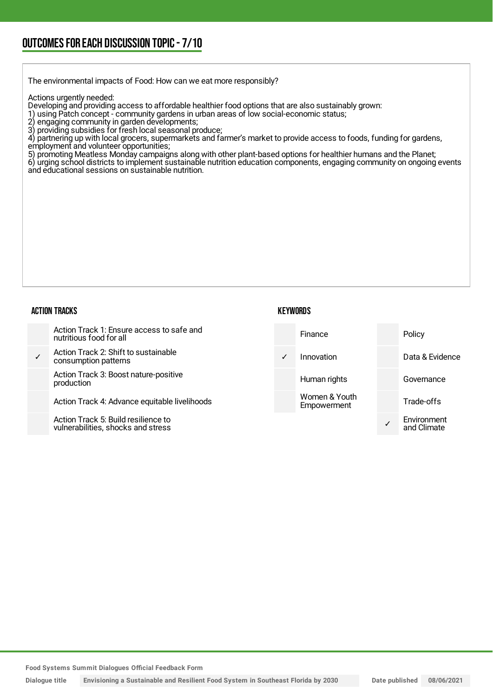The environmental impacts of Food: How can we eat more responsibly?

Actions urgently needed:

Developing and providing access to affordable healthier food options that are also sustainably grown:

- 1) using Patch concept community gardens in urban areas of low social-economic status;
- 2) engaging community in garden developments;
- 3) providing subsidies for fresh local seasonal produce;

4) providing subsidies for fresh local seasonal produce;<br>4) partnering up with local grocers, supermarkets and farmer's market to provide access to foods, funding for gardens,

- employment and volunteer opportunities;
- 5) promoting Meatless Monday campaigns along with other plant-based options for healthier humans and the Planet;

6) urging school districts to implement sustainable nutrition education components, engaging community on ongoing events and educational sessions on sustainable nutrition.

#### ACTION TRACKS

#### **KEYWORDS**

| Action Track 1: Ensure access to safe and<br>nutritious food for all      |            | <b>Finance</b>               | Policy                     |
|---------------------------------------------------------------------------|------------|------------------------------|----------------------------|
| Action Track 2: Shift to sustainable<br>consumption patterns              | $\sqrt{2}$ | Innovation                   | Data & Evidence            |
| Action Track 3: Boost nature-positive<br>production                       |            | Human rights                 | Governance                 |
| Action Track 4: Advance equitable livelihoods                             |            | Women & Youth<br>Empowerment | Trade-offs                 |
| Action Track 5: Build resilience to<br>vulnerabilities, shocks and stress |            |                              | Environment<br>and Climate |

**Food Systems Summit Dialogues Official Feedback Form**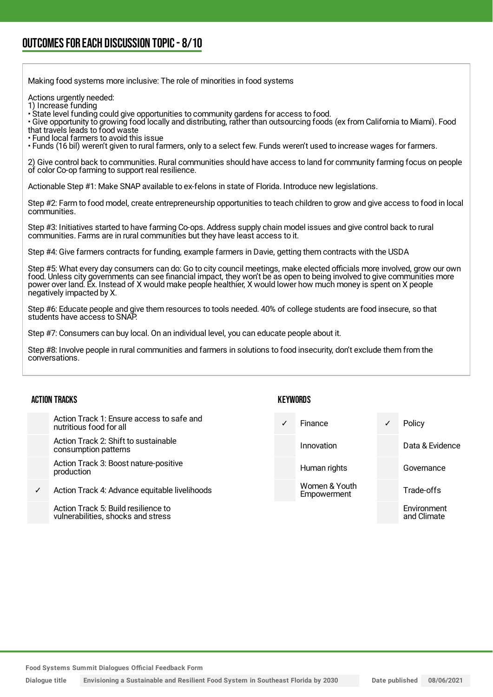Making food systems more inclusive: The role of minorities in food systems

Actions urgently needed:

1) Increase funding

• State level funding could give opportunities to community gardens for access to food.

• Give opportunity to growing food locally and distributing, rather than outsourcing foods (ex from California to Miami). Food that travels leads to food waste

• Fund local farmers to avoid this issue

• Funds (16 bil) weren't given to rural farmers, only to a select few. Funds weren't used to increase wages for farmers.

2) Give control back to communities. Rural communities should have access to land for community farming focus on people of color Co-op farming to support real resilience.

Actionable Step #1: Make SNAP available to ex-felons in state of Florida. Introduce new legislations.

Step #2: Farm to food model, create entrepreneurship opportunities to teach children to grow and give access to food in local communities.

Step #3: Initiatives started to have farming Co-ops. Address supply chain model issues and give control back to rural communities. Farms are in rural communities but they have least access to it.

Step #4: Give farmers contracts for funding, example farmers in Davie, getting them contracts with the USDA

Step #5: What every day consumers can do: Go to city council meetings, make elected officials more involved, grow our own food. Unless city governments can see financial impact, they won't be as open to being involved to give communities more power over land. Ex. Instead of X would make people healthier, X would lower how much money is spent on X people negatively impacted by X.

Step #6: Educate people and give them resources to tools needed. 40% of college students are food insecure, so that students have access to SNAP.

Step #7: Consumers can buy local. On an individual level, you can educate people about it.

Step #8: Involve people in rural communities and farmers in solutions to food insecurity, don't exclude them from the conversations.

#### ACTION TRACKS

- Action Track 1: Ensure access to safe and nutritious food for all
- Action Track 2: Shift to sustainable consumption patterns
- Action Track 3: Boost nature-positive production
- Action Track 4: Advance equitable livelihoods
	- Action Track 5: Build resilience to vulnerabilities, shocks and stress

#### KEYWORDS

Finance **v** Policy Innovation **Data & Evidence** Human rights **Governance** Women & Youth Empowerment Trade-offs Environment and Climate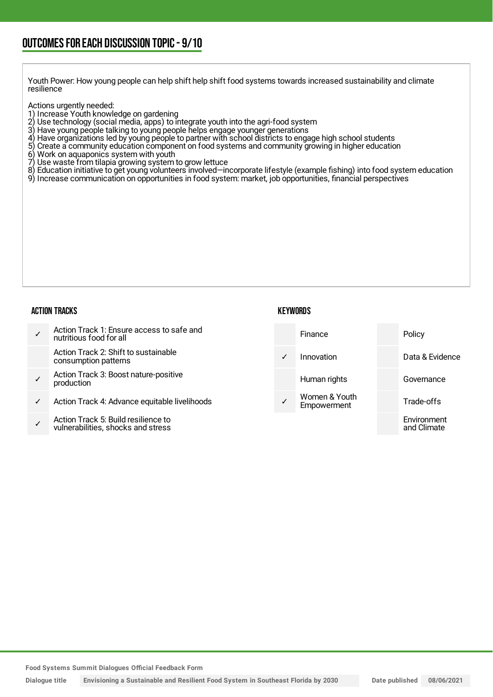Youth Power: How young people can help shift help shift food systems towards increased sustainability and climate resilience

Actions urgently needed:

- 
- 1) Increase Youth knowledge on gardening<br>2) Use technology (social media, apps) to in 2) Use technology (social media, apps) to integrate youth into the agri-food system
- 3) Have young people talking to young people helps engage younger generations
- 4) Have organizations led by young people to partner with school districts to engage high school students
- 5) Create a community education component on food systems and community growing in higher education
- 6) Work on aquaponics system with youth
- Use waste from tilapia growing system to grow lettuce
- 8) Education initiative to get young volunteers involved—incorporate lifestyle (example fishing) into food system education
- 9) Increase communication on opportunities in food system: market, job opportunities, financial perspectives

#### ACTION TRACKS

#### **KEYWORDS**

✓ Action Track 1: Ensure access to safe and nutritious food for all Action Track 2: Shift to sustainable consumption patterns ✓ Action Track 3: Boost nature-positive production Action Track 4: Advance equitable livelihoods ✓ Action Track 5: Build resilience to vulnerabilities, shocks and stress Finance Policy Innovation Data & Evidence Human rights **Governance** Women & Youth **Empowerment** Trade-offs Environment and Climate

**Food Systems Summit Dialogues Official Feedback Form**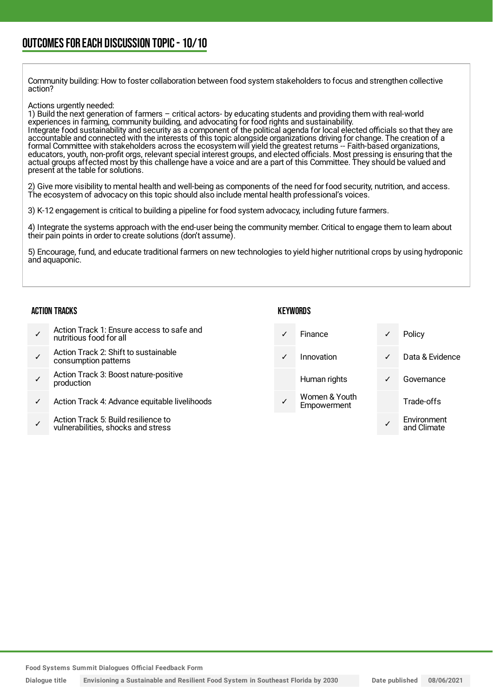Community building: How to foster collaboration between food system stakeholders to focus and strengthen collective action?

Actions urgently needed:

1) Build the next generation of farmers – critical actors- by educating students and providing them with real-world experiences in farming, community building, and advocating for food rights and sustainability. Integrate food sustainability and security as a component of the political agenda for local elected officials so that they are accountable and connected with the interests of this topic alongside organizations driving for change. The creation of a formal Committee with stakeholders across the ecosystem will yield the greatest returns -- Faith-based organizations, educators, youth, non-profit orgs, relevant special interest groups, and elected officials. Most pressing is ensuring that the actual groups affected most by this challenge have a voice and are a part of this Committee. They should be valued and present at the table for solutions.

2) Give more visibility to mental health and well-being as components of the need for food security, nutrition, and access. The ecosystem of advocacy on this topic should also include mental health professional's voices.

3) K-12 engagement is critical to building a pipeline for food system advocacy, including future farmers.

4) Integrate the systems approach with the end-user being the community member. Critical to engage them to learn about their pain points in order to create solutions (don't assume).

5) Encourage, fund, and educate traditional farmers on new technologies to yield higher nutritional crops by using hydroponic and aquaponic.

#### ACTION TRACKS

|  | Action Track 1: Ensure access to safe and<br>nutritious food for all |
|--|----------------------------------------------------------------------|
|--|----------------------------------------------------------------------|

- ✓ Action Track 2: Shift to sustainable consumption patterns
- ✓ Action Track 3: Boost nature-positive production
- Action Track 4: Advance equitable livelihoods
- ✓ Action Track 5: Build resilience to vulnerabilities, shocks and stress

**KEYWORDS** 

- Finance **√** Policy ✓ Innovation ✓ Data & Evidence Human rights **v** Governance Women & Youth Trade-offs
	- **Empowerment**

✓ Environment and Climate

**Food Systems Summit Dialogues Official Feedback Form**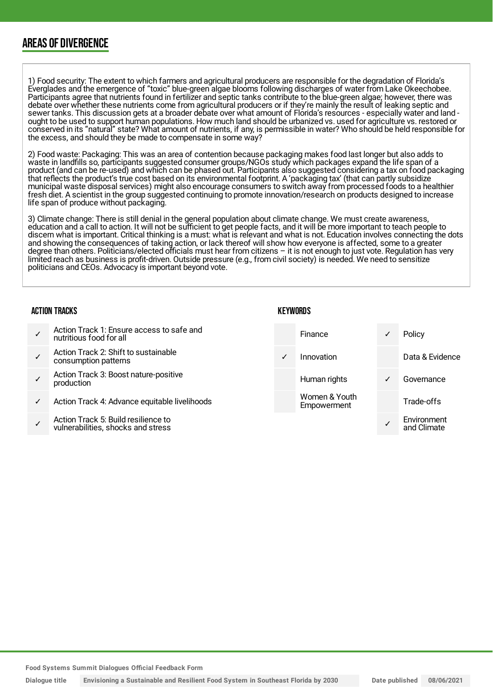### AREAS OF DIVERGENCE

1) Food security: The extent to which farmers and agricultural producers are responsible for the degradation of Florida's Everglades and the emergence of "toxic" blue-green algae blooms following discharges of water from Lake Okeechobee. Participants agree that nutrients found in fertilizer and septic tanks contribute to the blue-green algae; however, there was debate over whether these nutrients come from agricultural producers or if they're mainly the result of leaking septic and sewer tanks. This discussion gets at a broader debate over what amount of Florida's resources - especially water and land ought to be used to support human populations. How much land should be urbanized vs. used for agriculture vs. restored or conserved in its "natural" state? What amount of nutrients, if any, is permissible in water? Who should be held responsible for the excess, and should they be made to compensate in some way?

2) Food waste: Packaging: This was an area of contention because packaging makes food last longer but also adds to waste in landfills so, participants suggested consumer groups/NGOs study which packages expand the life span of a product (and can be re-used) and which can be phased out. Participants also suggested considering a tax on food packaging that reflects the product's true cost based on its environmental footprint. A 'packaging tax' (that can partly subsidize municipal waste disposal services) might also encourage consumers to switch away from processed foods to a healthier fresh diet. A scientist in the group suggested continuing to promote innovation/research on products designed to increase life span of produce without packaging.

3) Climate change: There is still denial in the general population about climate change. We must create awareness, education and a call to action. It will not be sufficient to get people facts, and it will be more important to teach people to discern what is important. Critical thinking is a must: what is relevant and what is not. Education involves connecting the dots and showing the consequences of taking action, or lack thereof will show how everyone is affected, some to a greater degree than others. Politicians/elected officials must hear from citizens – it is not enough to just vote. Regulation has very limited reach as business is profit-driven. Outside pressure (e.g., from civil society) is needed. We need to sensitize politicians and CEOs. Advocacy is important beyond vote.

**KEYWORDS** 

#### ACTION TRACKS

| Action Track 1: Ensure access to safe and<br>nutritious food for all | Finance   |
|----------------------------------------------------------------------|-----------|
| Action Track 2: Shift to sustainable<br>consumption patterns         | Innovatic |
| Action Track 3: Boost nature-positive                                |           |

- ✓ Action Track 3: Boost nature-positive production
	- Action Track 4: Advance equitable livelihoods
	- ✓ Action Track 5: Build resilience to vulnerabilities, shocks and stress